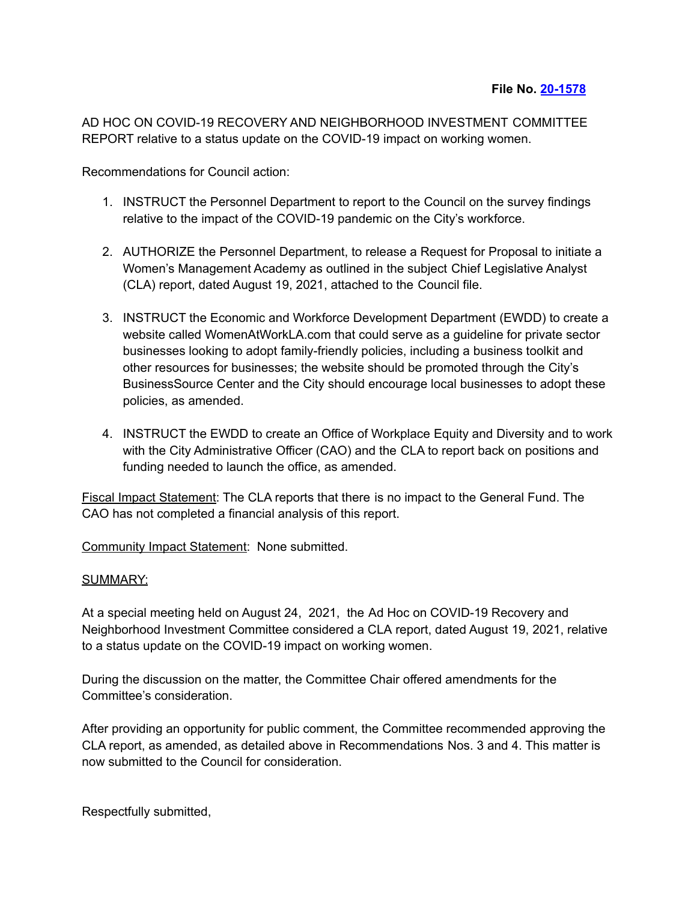AD HOC ON COVID-19 RECOVERY AND NEIGHBORHOOD INVESTMENT COMMITTEE REPORT relative to a status update on the COVID-19 impact on working women.

Recommendations for Council action:

- 1. INSTRUCT the Personnel Department to report to the Council on the survey findings relative to the impact of the COVID-19 pandemic on the City's workforce.
- 2. AUTHORIZE the Personnel Department, to release a Request for Proposal to initiate a Women's Management Academy as outlined in the subject Chief Legislative Analyst (CLA) report, dated August 19, 2021, attached to the Council file.
- 3. INSTRUCT the Economic and Workforce Development Department (EWDD) to create a website called WomenAtWorkLA.com that could serve as a guideline for private sector businesses looking to adopt family-friendly policies, including a business toolkit and other resources for businesses; the website should be promoted through the City's BusinessSource Center and the City should encourage local businesses to adopt these policies, as amended.
- 4. INSTRUCT the EWDD to create an Office of Workplace Equity and Diversity and to work with the City Administrative Officer (CAO) and the CLA to report back on positions and funding needed to launch the office, as amended.

Fiscal Impact Statement: The CLA reports that there is no impact to the General Fund. The CAO has not completed a financial analysis of this report.

Community Impact Statement: None submitted.

## SUMMARY:

At a special meeting held on August 24, 2021, the Ad Hoc on COVID-19 Recovery and Neighborhood Investment Committee considered a CLA report, dated August 19, 2021, relative to a status update on the COVID-19 impact on working women.

During the discussion on the matter, the Committee Chair offered amendments for the Committee's consideration.

After providing an opportunity for public comment, the Committee recommended approving the CLA report, as amended, as detailed above in Recommendations Nos. 3 and 4. This matter is now submitted to the Council for consideration.

Respectfully submitted,